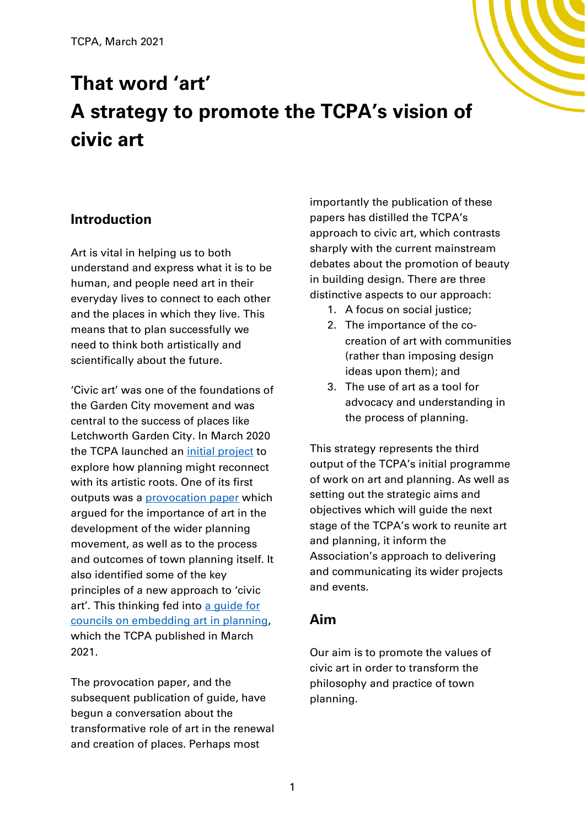# **That word 'art' A strategy to promote the TCPA's vision of civic art**

### **Introduction**

Art is vital in helping us to both understand and express what it is to be human, and people need art in their everyday lives to connect to each other and the places in which they live. This means that to plan successfully we need to think both artistically and scientifically about the future.

'Civic art' was one of the foundations of the Garden City movement and was central to the success of places like Letchworth Garden City. In March 2020 the TCPA launched an initial [project](https://www.tcpa.org.uk/pages/category/art-and-planning) to explore how planning might reconnect with its artistic roots. One of its first outputs was a [provocation paper](https://www.tcpa.org.uk/civic-art-the-renewed-philosophy-of-town-planning) which argued for the importance of art in the development of the wider planning movement, as well as to the process and outcomes of town planning itself. It also identified some of the key principles of a new approach to 'civic art'. This thinking fed into [a guide for](https://www.tcpa.org.uk/putting-art-back-into-planning)  [councils on embedding art in](https://www.tcpa.org.uk/putting-art-back-into-planning) planning, which the TCPA published in March 2021.

The provocation paper, and the subsequent publication of guide, have begun a conversation about the transformative role of art in the renewal and creation of places. Perhaps most

importantly the publication of these papers has distilled the TCPA's approach to civic art, which contrasts sharply with the current mainstream debates about the promotion of beauty in building design. There are three distinctive aspects to our approach:

- 1. A focus on social justice;
- 2. The importance of the cocreation of art with communities (rather than imposing design ideas upon them); and
- 3. The use of art as a tool for advocacy and understanding in the process of planning.

This strategy represents the third output of the TCPA's initial programme of work on art and planning. As well as setting out the strategic aims and objectives which will guide the next stage of the TCPA's work to reunite art and planning, it inform the Association's approach to delivering and communicating its wider projects and events.

#### **Aim**

Our aim is to promote the values of civic art in order to transform the philosophy and practice of town planning.